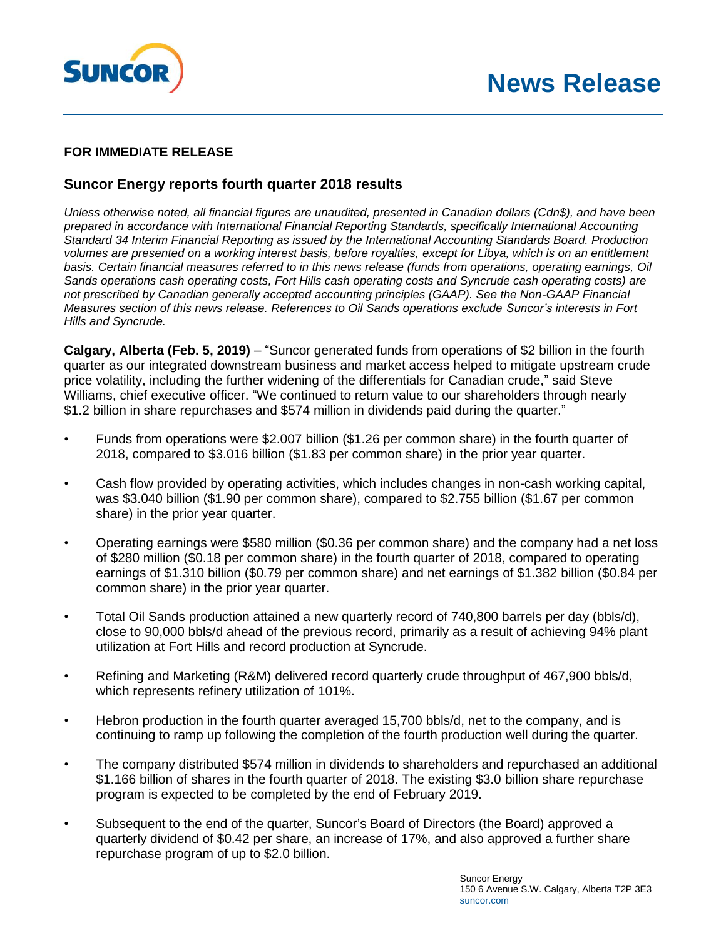



### **FOR IMMEDIATE RELEASE**

## **Suncor Energy reports fourth quarter 2018 results**

*Unless otherwise noted, all financial figures are unaudited, presented in Canadian dollars (Cdn\$), and have been prepared in accordance with International Financial Reporting Standards, specifically International Accounting Standard 34 Interim Financial Reporting as issued by the International Accounting Standards Board. Production volumes are presented on a working interest basis, before royalties, except for Libya, which is on an entitlement basis. Certain financial measures referred to in this news release (funds from operations, operating earnings, Oil Sands operations cash operating costs, Fort Hills cash operating costs and Syncrude cash operating costs) are not prescribed by Canadian generally accepted accounting principles (GAAP). See the Non-GAAP Financial Measures section of this news release. References to Oil Sands operations exclude Suncor's interests in Fort Hills and Syncrude.*

**Calgary, Alberta (Feb. 5, 2019)** – "Suncor generated funds from operations of \$2 billion in the fourth quarter as our integrated downstream business and market access helped to mitigate upstream crude price volatility, including the further widening of the differentials for Canadian crude," said Steve Williams, chief executive officer. "We continued to return value to our shareholders through nearly \$1.2 billion in share repurchases and \$574 million in dividends paid during the quarter."

- Funds from operations were \$2.007 billion (\$1.26 per common share) in the fourth quarter of 2018, compared to \$3.016 billion (\$1.83 per common share) in the prior year quarter.
- Cash flow provided by operating activities, which includes changes in non-cash working capital, was \$3.040 billion (\$1.90 per common share), compared to \$2.755 billion (\$1.67 per common share) in the prior year quarter.
- Operating earnings were \$580 million (\$0.36 per common share) and the company had a net loss of \$280 million (\$0.18 per common share) in the fourth quarter of 2018, compared to operating earnings of \$1.310 billion (\$0.79 per common share) and net earnings of \$1.382 billion (\$0.84 per common share) in the prior year quarter.
- Total Oil Sands production attained a new quarterly record of 740,800 barrels per day (bbls/d), close to 90,000 bbls/d ahead of the previous record, primarily as a result of achieving 94% plant utilization at Fort Hills and record production at Syncrude.
- Refining and Marketing (R&M) delivered record quarterly crude throughput of 467,900 bbls/d, which represents refinery utilization of 101%.
- Hebron production in the fourth quarter averaged 15,700 bbls/d, net to the company, and is continuing to ramp up following the completion of the fourth production well during the quarter.
- The company distributed \$574 million in dividends to shareholders and repurchased an additional \$1.166 billion of shares in the fourth quarter of 2018. The existing \$3.0 billion share repurchase program is expected to be completed by the end of February 2019.
- Subsequent to the end of the quarter, Suncor's Board of Directors (the Board) approved a quarterly dividend of \$0.42 per share, an increase of 17%, and also approved a further share repurchase program of up to \$2.0 billion.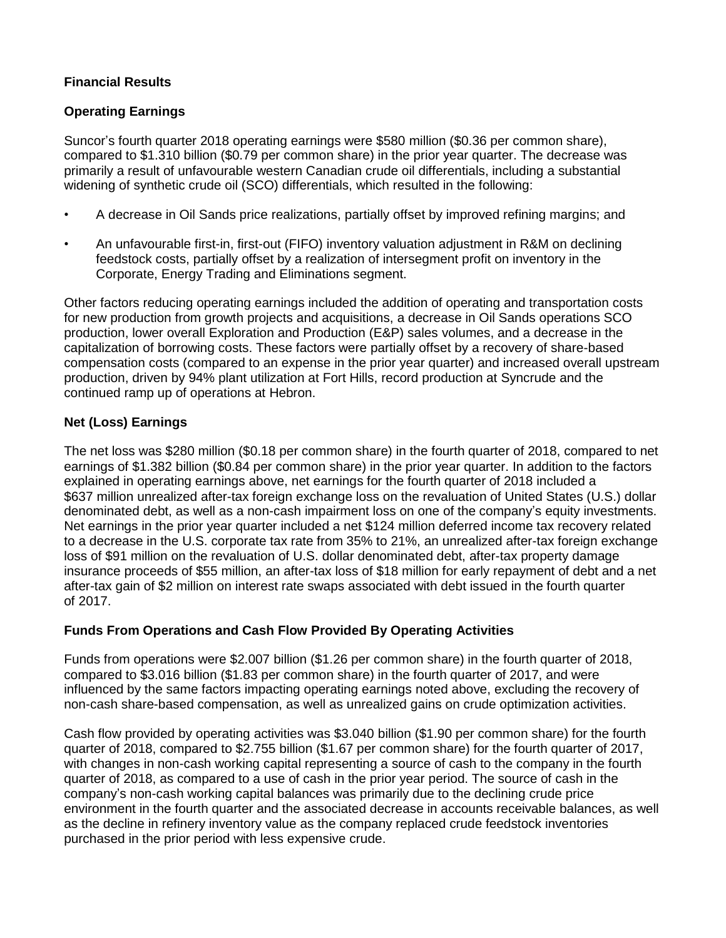# **Financial Results**

## **Operating Earnings**

Suncor's fourth quarter 2018 operating earnings were \$580 million (\$0.36 per common share), compared to \$1.310 billion (\$0.79 per common share) in the prior year quarter. The decrease was primarily a result of unfavourable western Canadian crude oil differentials, including a substantial widening of synthetic crude oil (SCO) differentials, which resulted in the following:

- A decrease in Oil Sands price realizations, partially offset by improved refining margins; and
- An unfavourable first-in, first-out (FIFO) inventory valuation adjustment in R&M on declining feedstock costs, partially offset by a realization of intersegment profit on inventory in the Corporate, Energy Trading and Eliminations segment.

Other factors reducing operating earnings included the addition of operating and transportation costs for new production from growth projects and acquisitions, a decrease in Oil Sands operations SCO production, lower overall Exploration and Production (E&P) sales volumes, and a decrease in the capitalization of borrowing costs. These factors were partially offset by a recovery of share-based compensation costs (compared to an expense in the prior year quarter) and increased overall upstream production, driven by 94% plant utilization at Fort Hills, record production at Syncrude and the continued ramp up of operations at Hebron.

#### **Net (Loss) Earnings**

The net loss was \$280 million (\$0.18 per common share) in the fourth quarter of 2018, compared to net earnings of \$1.382 billion (\$0.84 per common share) in the prior year quarter. In addition to the factors explained in operating earnings above, net earnings for the fourth quarter of 2018 included a \$637 million unrealized after-tax foreign exchange loss on the revaluation of United States (U.S.) dollar denominated debt, as well as a non-cash impairment loss on one of the company's equity investments. Net earnings in the prior year quarter included a net \$124 million deferred income tax recovery related to a decrease in the U.S. corporate tax rate from 35% to 21%, an unrealized after-tax foreign exchange loss of \$91 million on the revaluation of U.S. dollar denominated debt, after-tax property damage insurance proceeds of \$55 million, an after-tax loss of \$18 million for early repayment of debt and a net after-tax gain of \$2 million on interest rate swaps associated with debt issued in the fourth quarter of 2017.

### **Funds From Operations and Cash Flow Provided By Operating Activities**

Funds from operations were \$2.007 billion (\$1.26 per common share) in the fourth quarter of 2018, compared to \$3.016 billion (\$1.83 per common share) in the fourth quarter of 2017, and were influenced by the same factors impacting operating earnings noted above, excluding the recovery of non-cash share-based compensation, as well as unrealized gains on crude optimization activities.

Cash flow provided by operating activities was \$3.040 billion (\$1.90 per common share) for the fourth quarter of 2018, compared to \$2.755 billion (\$1.67 per common share) for the fourth quarter of 2017, with changes in non-cash working capital representing a source of cash to the company in the fourth quarter of 2018, as compared to a use of cash in the prior year period. The source of cash in the company's non-cash working capital balances was primarily due to the declining crude price environment in the fourth quarter and the associated decrease in accounts receivable balances, as well as the decline in refinery inventory value as the company replaced crude feedstock inventories purchased in the prior period with less expensive crude.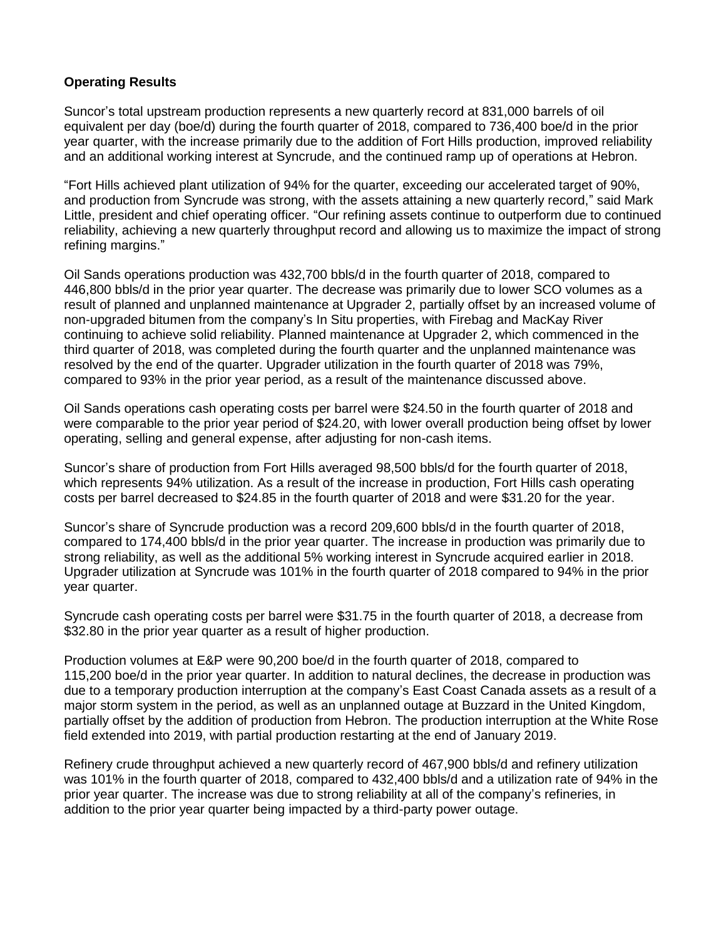## **Operating Results**

Suncor's total upstream production represents a new quarterly record at 831,000 barrels of oil equivalent per day (boe/d) during the fourth quarter of 2018, compared to 736,400 boe/d in the prior year quarter, with the increase primarily due to the addition of Fort Hills production, improved reliability and an additional working interest at Syncrude, and the continued ramp up of operations at Hebron.

"Fort Hills achieved plant utilization of 94% for the quarter, exceeding our accelerated target of 90%, and production from Syncrude was strong, with the assets attaining a new quarterly record," said Mark Little, president and chief operating officer. "Our refining assets continue to outperform due to continued reliability, achieving a new quarterly throughput record and allowing us to maximize the impact of strong refining margins."

Oil Sands operations production was 432,700 bbls/d in the fourth quarter of 2018, compared to 446,800 bbls/d in the prior year quarter. The decrease was primarily due to lower SCO volumes as a result of planned and unplanned maintenance at Upgrader 2, partially offset by an increased volume of non-upgraded bitumen from the company's In Situ properties, with Firebag and MacKay River continuing to achieve solid reliability. Planned maintenance at Upgrader 2, which commenced in the third quarter of 2018, was completed during the fourth quarter and the unplanned maintenance was resolved by the end of the quarter. Upgrader utilization in the fourth quarter of 2018 was 79%, compared to 93% in the prior year period, as a result of the maintenance discussed above.

Oil Sands operations cash operating costs per barrel were \$24.50 in the fourth quarter of 2018 and were comparable to the prior year period of \$24.20, with lower overall production being offset by lower operating, selling and general expense, after adjusting for non-cash items.

Suncor's share of production from Fort Hills averaged 98,500 bbls/d for the fourth quarter of 2018, which represents 94% utilization. As a result of the increase in production, Fort Hills cash operating costs per barrel decreased to \$24.85 in the fourth quarter of 2018 and were \$31.20 for the year.

Suncor's share of Syncrude production was a record 209,600 bbls/d in the fourth quarter of 2018, compared to 174,400 bbls/d in the prior year quarter. The increase in production was primarily due to strong reliability, as well as the additional 5% working interest in Syncrude acquired earlier in 2018. Upgrader utilization at Syncrude was 101% in the fourth quarter of 2018 compared to 94% in the prior year quarter.

Syncrude cash operating costs per barrel were \$31.75 in the fourth quarter of 2018, a decrease from \$32.80 in the prior year quarter as a result of higher production.

Production volumes at E&P were 90,200 boe/d in the fourth quarter of 2018, compared to 115,200 boe/d in the prior year quarter. In addition to natural declines, the decrease in production was due to a temporary production interruption at the company's East Coast Canada assets as a result of a major storm system in the period, as well as an unplanned outage at Buzzard in the United Kingdom, partially offset by the addition of production from Hebron. The production interruption at the White Rose field extended into 2019, with partial production restarting at the end of January 2019.

Refinery crude throughput achieved a new quarterly record of 467,900 bbls/d and refinery utilization was 101% in the fourth quarter of 2018, compared to 432,400 bbls/d and a utilization rate of 94% in the prior year quarter. The increase was due to strong reliability at all of the company's refineries, in addition to the prior year quarter being impacted by a third-party power outage.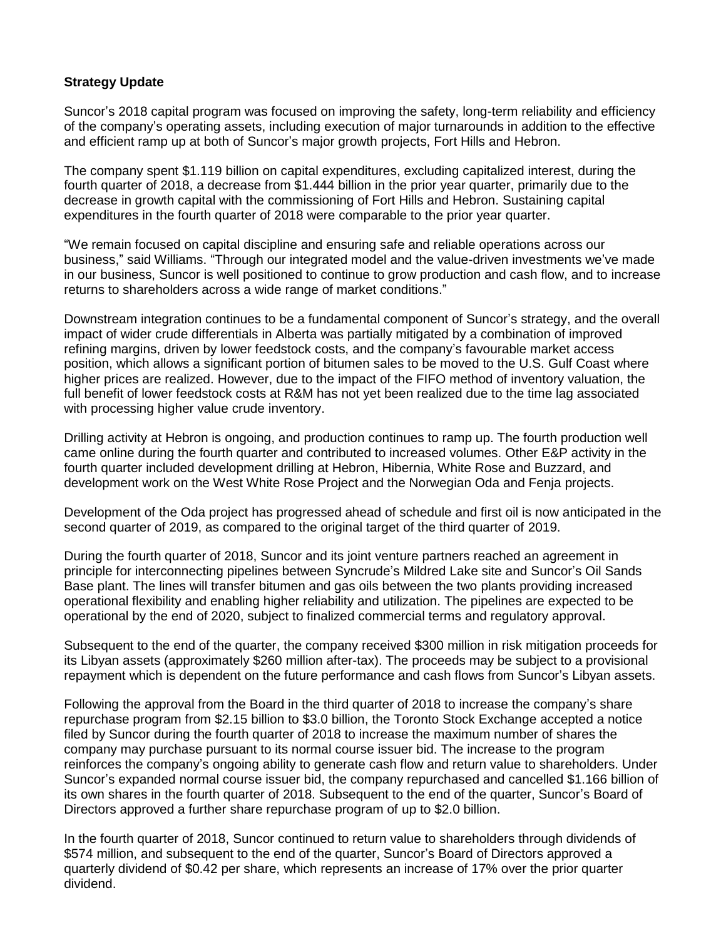## **Strategy Update**

Suncor's 2018 capital program was focused on improving the safety, long-term reliability and efficiency of the company's operating assets, including execution of major turnarounds in addition to the effective and efficient ramp up at both of Suncor's major growth projects, Fort Hills and Hebron.

The company spent \$1.119 billion on capital expenditures, excluding capitalized interest, during the fourth quarter of 2018, a decrease from \$1.444 billion in the prior year quarter, primarily due to the decrease in growth capital with the commissioning of Fort Hills and Hebron. Sustaining capital expenditures in the fourth quarter of 2018 were comparable to the prior year quarter.

"We remain focused on capital discipline and ensuring safe and reliable operations across our business," said Williams. "Through our integrated model and the value-driven investments we've made in our business, Suncor is well positioned to continue to grow production and cash flow, and to increase returns to shareholders across a wide range of market conditions."

Downstream integration continues to be a fundamental component of Suncor's strategy, and the overall impact of wider crude differentials in Alberta was partially mitigated by a combination of improved refining margins, driven by lower feedstock costs, and the company's favourable market access position, which allows a significant portion of bitumen sales to be moved to the U.S. Gulf Coast where higher prices are realized. However, due to the impact of the FIFO method of inventory valuation, the full benefit of lower feedstock costs at R&M has not yet been realized due to the time lag associated with processing higher value crude inventory.

Drilling activity at Hebron is ongoing, and production continues to ramp up. The fourth production well came online during the fourth quarter and contributed to increased volumes. Other E&P activity in the fourth quarter included development drilling at Hebron, Hibernia, White Rose and Buzzard, and development work on the West White Rose Project and the Norwegian Oda and Fenja projects.

Development of the Oda project has progressed ahead of schedule and first oil is now anticipated in the second quarter of 2019, as compared to the original target of the third quarter of 2019.

During the fourth quarter of 2018, Suncor and its joint venture partners reached an agreement in principle for interconnecting pipelines between Syncrude's Mildred Lake site and Suncor's Oil Sands Base plant. The lines will transfer bitumen and gas oils between the two plants providing increased operational flexibility and enabling higher reliability and utilization. The pipelines are expected to be operational by the end of 2020, subject to finalized commercial terms and regulatory approval.

Subsequent to the end of the quarter, the company received \$300 million in risk mitigation proceeds for its Libyan assets (approximately \$260 million after-tax). The proceeds may be subject to a provisional repayment which is dependent on the future performance and cash flows from Suncor's Libyan assets.

Following the approval from the Board in the third quarter of 2018 to increase the company's share repurchase program from \$2.15 billion to \$3.0 billion, the Toronto Stock Exchange accepted a notice filed by Suncor during the fourth quarter of 2018 to increase the maximum number of shares the company may purchase pursuant to its normal course issuer bid. The increase to the program reinforces the company's ongoing ability to generate cash flow and return value to shareholders. Under Suncor's expanded normal course issuer bid, the company repurchased and cancelled \$1.166 billion of its own shares in the fourth quarter of 2018. Subsequent to the end of the quarter, Suncor's Board of Directors approved a further share repurchase program of up to \$2.0 billion.

In the fourth quarter of 2018, Suncor continued to return value to shareholders through dividends of \$574 million, and subsequent to the end of the quarter, Suncor's Board of Directors approved a quarterly dividend of \$0.42 per share, which represents an increase of 17% over the prior quarter dividend.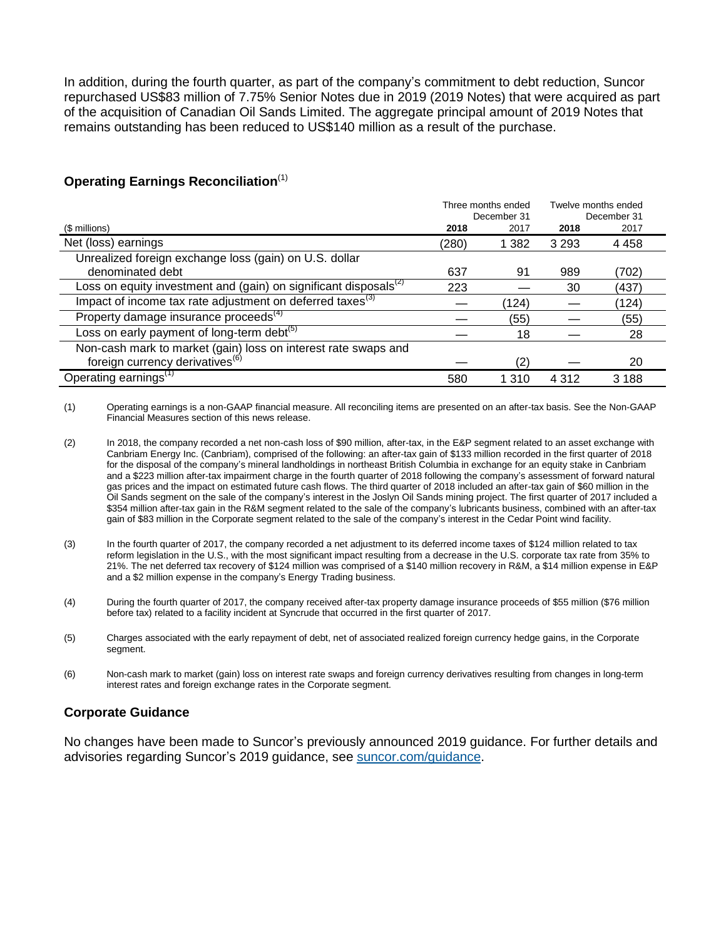In addition, during the fourth quarter, as part of the company's commitment to debt reduction, Suncor repurchased US\$83 million of 7.75% Senior Notes due in 2019 (2019 Notes) that were acquired as part of the acquisition of Canadian Oil Sands Limited. The aggregate principal amount of 2019 Notes that remains outstanding has been reduced to US\$140 million as a result of the purchase.

### **Operating Earnings Reconciliation**(1)

|                                                                                                               | Three months ended<br>December 31 |         | Twelve months ended<br>December 31 |         |
|---------------------------------------------------------------------------------------------------------------|-----------------------------------|---------|------------------------------------|---------|
| (\$ millions)                                                                                                 | 2018                              | 2017    | 2018                               | 2017    |
| Net (loss) earnings                                                                                           | (280)                             | 1 3 8 2 | 3 2 9 3                            | 4 4 5 8 |
| Unrealized foreign exchange loss (gain) on U.S. dollar                                                        |                                   |         |                                    |         |
| denominated debt                                                                                              | 637                               | 91      | 989                                | (702)   |
| Loss on equity investment and (gain) on significant disposals <sup>(2)</sup>                                  | 223                               |         | 30                                 | (437)   |
| Impact of income tax rate adjustment on deferred taxes <sup>(3)</sup>                                         |                                   | (124)   |                                    | (124)   |
| Property damage insurance proceeds <sup>(4)</sup>                                                             |                                   | (55)    |                                    | (55)    |
| Loss on early payment of long-term debt $(5)$                                                                 |                                   | 18      |                                    | 28      |
| Non-cash mark to market (gain) loss on interest rate swaps and<br>foreign currency derivatives <sup>(6)</sup> |                                   |         |                                    |         |
|                                                                                                               |                                   | (2)     |                                    | 20      |
| Operating earnings <sup>(1)</sup>                                                                             | 580                               | 1 3 1 0 | 4 3 1 2                            | 3 1 8 8 |

(1) Operating earnings is a non-GAAP financial measure. All reconciling items are presented on an after-tax basis. See the Non-GAAP Financial Measures section of this news release.

- (3) In the fourth quarter of 2017, the company recorded a net adjustment to its deferred income taxes of \$124 million related to tax reform legislation in the U.S., with the most significant impact resulting from a decrease in the U.S. corporate tax rate from 35% to 21%. The net deferred tax recovery of \$124 million was comprised of a \$140 million recovery in R&M, a \$14 million expense in E&P and a \$2 million expense in the company's Energy Trading business.
- (4) During the fourth quarter of 2017, the company received after-tax property damage insurance proceeds of \$55 million (\$76 million before tax) related to a facility incident at Syncrude that occurred in the first quarter of 2017.
- (5) Charges associated with the early repayment of debt, net of associated realized foreign currency hedge gains, in the Corporate segment.
- (6) Non-cash mark to market (gain) loss on interest rate swaps and foreign currency derivatives resulting from changes in long-term interest rates and foreign exchange rates in the Corporate segment.

### **Corporate Guidance**

No changes have been made to Suncor's previously announced 2019 guidance. For further details and advisories regarding Suncor's 2019 guidance, see [suncor.com/guidance.](https://www.suncor.com/investor-centre/corporate-guidance)

<sup>(2)</sup> In 2018, the company recorded a net non-cash loss of \$90 million, after-tax, in the E&P segment related to an asset exchange with Canbriam Energy Inc. (Canbriam), comprised of the following: an after-tax gain of \$133 million recorded in the first quarter of 2018 for the disposal of the company's mineral landholdings in northeast British Columbia in exchange for an equity stake in Canbriam and a \$223 million after-tax impairment charge in the fourth quarter of 2018 following the company's assessment of forward natural gas prices and the impact on estimated future cash flows. The third quarter of 2018 included an after-tax gain of \$60 million in the Oil Sands segment on the sale of the company's interest in the Joslyn Oil Sands mining project. The first quarter of 2017 included a \$354 million after-tax gain in the R&M segment related to the sale of the company's lubricants business, combined with an after-tax gain of \$83 million in the Corporate segment related to the sale of the company's interest in the Cedar Point wind facility.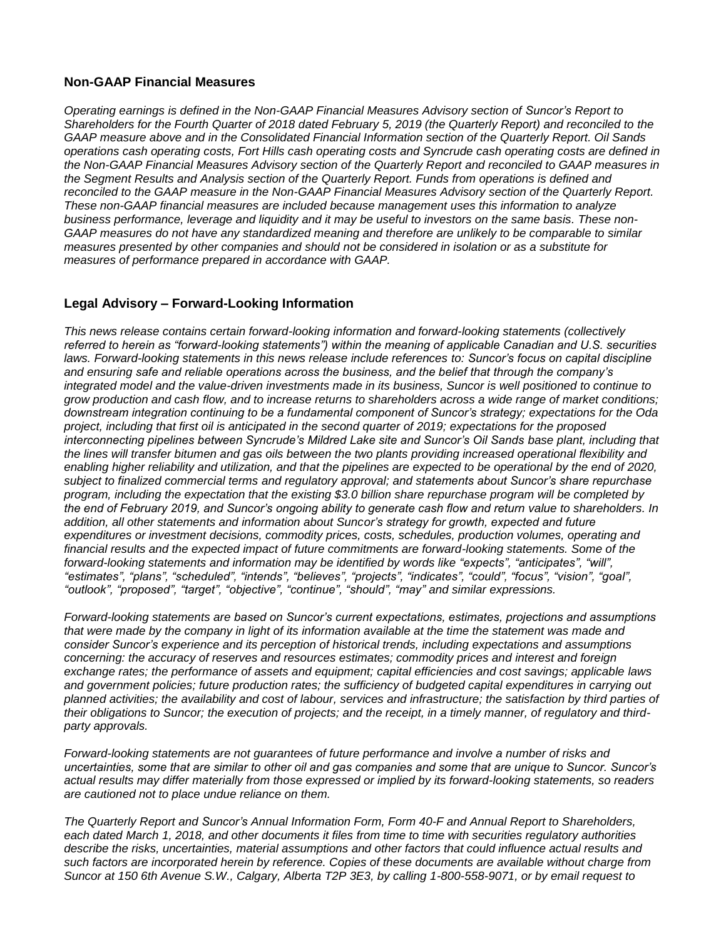#### **Non-GAAP Financial Measures**

*Operating earnings is defined in the Non-GAAP Financial Measures Advisory section of Suncor's Report to Shareholders for the Fourth Quarter of 2018 dated February 5, 2019 (the Quarterly Report) and reconciled to the GAAP measure above and in the Consolidated Financial Information section of the Quarterly Report. Oil Sands operations cash operating costs, Fort Hills cash operating costs and Syncrude cash operating costs are defined in the Non-GAAP Financial Measures Advisory section of the Quarterly Report and reconciled to GAAP measures in the Segment Results and Analysis section of the Quarterly Report. Funds from operations is defined and reconciled to the GAAP measure in the Non-GAAP Financial Measures Advisory section of the Quarterly Report. These non-GAAP financial measures are included because management uses this information to analyze business performance, leverage and liquidity and it may be useful to investors on the same basis. These non-GAAP measures do not have any standardized meaning and therefore are unlikely to be comparable to similar measures presented by other companies and should not be considered in isolation or as a substitute for measures of performance prepared in accordance with GAAP.*

#### **Legal Advisory – Forward-Looking Information**

*This news release contains certain forward-looking information and forward-looking statements (collectively referred to herein as "forward-looking statements") within the meaning of applicable Canadian and U.S. securities laws. Forward-looking statements in this news release include references to: Suncor's focus on capital discipline and ensuring safe and reliable operations across the business, and the belief that through the company's integrated model and the value-driven investments made in its business, Suncor is well positioned to continue to grow production and cash flow, and to increase returns to shareholders across a wide range of market conditions; downstream integration continuing to be a fundamental component of Suncor's strategy; expectations for the Oda project, including that first oil is anticipated in the second quarter of 2019; expectations for the proposed interconnecting pipelines between Syncrude's Mildred Lake site and Suncor's Oil Sands base plant, including that the lines will transfer bitumen and gas oils between the two plants providing increased operational flexibility and*  enabling higher reliability and utilization, and that the pipelines are expected to be operational by the end of 2020, *subject to finalized commercial terms and regulatory approval; and statements about Suncor's share repurchase program, including the expectation that the existing \$3.0 billion share repurchase program will be completed by the end of February 2019, and Suncor's ongoing ability to generate cash flow and return value to shareholders. In addition, all other statements and information about Suncor's strategy for growth, expected and future expenditures or investment decisions, commodity prices, costs, schedules, production volumes, operating and financial results and the expected impact of future commitments are forward-looking statements. Some of the forward-looking statements and information may be identified by words like "expects", "anticipates", "will", "estimates", "plans", "scheduled", "intends", "believes", "projects", "indicates", "could", "focus", "vision", "goal", "outlook", "proposed", "target", "objective", "continue", "should", "may" and similar expressions.*

*Forward-looking statements are based on Suncor's current expectations, estimates, projections and assumptions that were made by the company in light of its information available at the time the statement was made and consider Suncor's experience and its perception of historical trends, including expectations and assumptions concerning: the accuracy of reserves and resources estimates; commodity prices and interest and foreign exchange rates; the performance of assets and equipment; capital efficiencies and cost savings; applicable laws*  and government policies; future production rates; the sufficiency of budgeted capital expenditures in carrying out *planned activities; the availability and cost of labour, services and infrastructure; the satisfaction by third parties of their obligations to Suncor; the execution of projects; and the receipt, in a timely manner, of regulatory and thirdparty approvals.*

*Forward-looking statements are not guarantees of future performance and involve a number of risks and uncertainties, some that are similar to other oil and gas companies and some that are unique to Suncor. Suncor's actual results may differ materially from those expressed or implied by its forward-looking statements, so readers are cautioned not to place undue reliance on them.*

*The Quarterly Report and Suncor's Annual Information Form, Form 40-F and Annual Report to Shareholders,*  each dated March 1, 2018, and other documents it files from time to time with securities regulatory authorities *describe the risks, uncertainties, material assumptions and other factors that could influence actual results and such factors are incorporated herein by reference. Copies of these documents are available without charge from Suncor at 150 6th Avenue S.W., Calgary, Alberta T2P 3E3, by calling 1-800-558-9071, or by email request to*